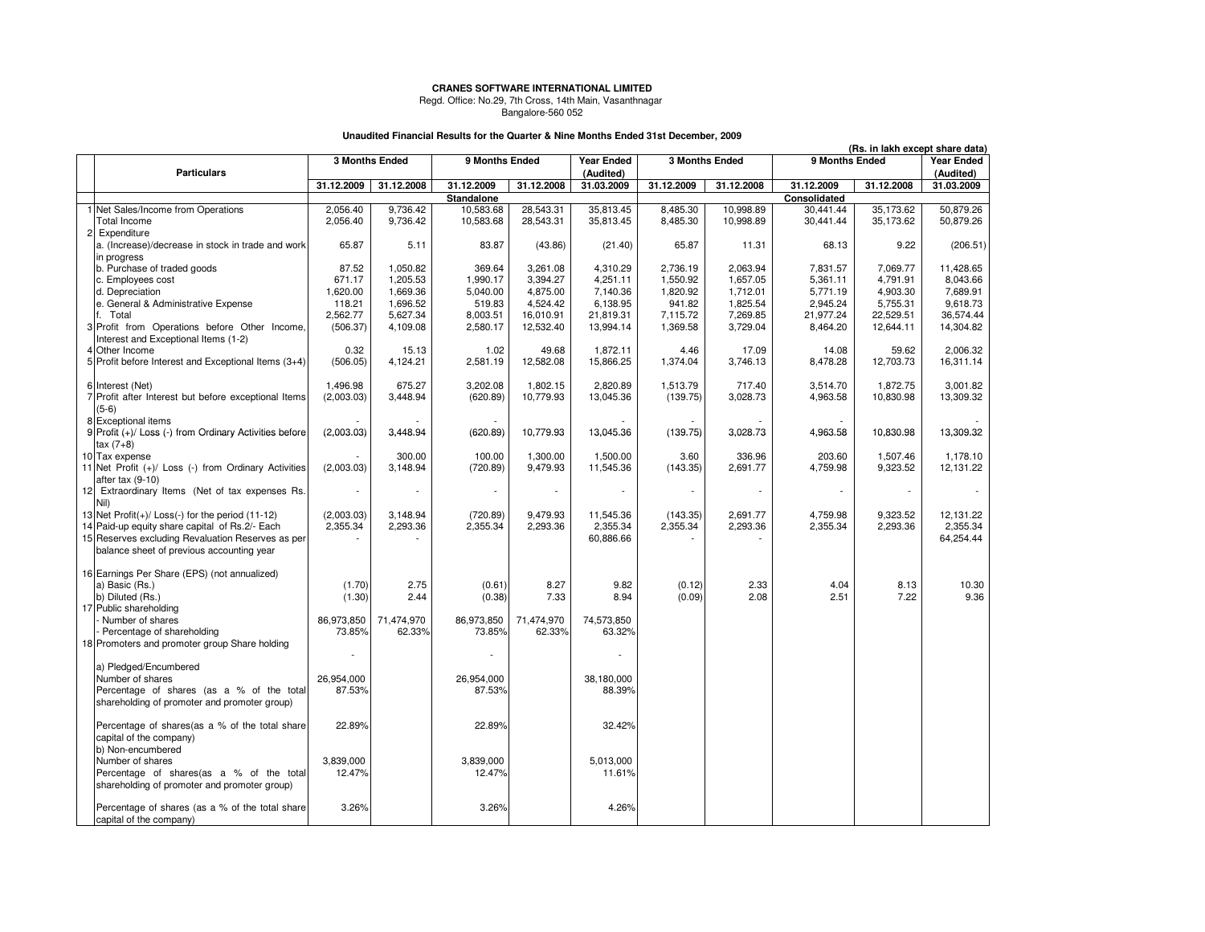## **CRANES SOFTWARE INTERNATIONAL LIMITED** Regd. Office: No.29, 7th Cross, 14th Main, Vasanthnagar Bangalore-560 052

## **Unaudited Financial Results for the Quarter & Nine Months Ended 31st December, 2009**

| Unaudited Financial Results for the Quarter & Nine Months Ended 31st December, 2009<br>(Rs. in lakh except share data)                                                                                    |                        |                      |                          |                          |                                    |                      |                        |                          |                        |                                    |
|-----------------------------------------------------------------------------------------------------------------------------------------------------------------------------------------------------------|------------------------|----------------------|--------------------------|--------------------------|------------------------------------|----------------------|------------------------|--------------------------|------------------------|------------------------------------|
|                                                                                                                                                                                                           | 3 Months Ended         |                      | 9 Months Ended           |                          | <b>Year Ended</b>                  |                      | <b>3 Months Ended</b>  |                          | 9 Months Ended         |                                    |
| <b>Particulars</b>                                                                                                                                                                                        |                        |                      |                          |                          | (Audited)                          |                      |                        |                          |                        | (Audited)                          |
|                                                                                                                                                                                                           | 31.12.2009             | 31.12.2008           | 31.12.2009               | 31.12.2008               | 31.03.2009                         | 31.12.2009           | 31.12.2008             | 31.12.2009               | 31.12.2008             | 31.03.2009                         |
|                                                                                                                                                                                                           |                        |                      | <b>Standalone</b>        |                          |                                    |                      |                        | Consolidated             |                        |                                    |
| Net Sales/Income from Operations<br>Total Income                                                                                                                                                          | 2,056.40<br>2,056.40   | 9,736.42<br>9,736.42 | 10,583.68<br>10,583.68   | 28,543.31<br>28,543.31   | 35,813.45<br>35,813.45             | 8,485.30<br>8,485.30 | 10,998.89<br>10,998.89 | 30.441.44<br>30,441.44   | 35,173.62<br>35,173.62 | 50.879.26<br>50,879.26             |
| Expenditure<br>$\overline{2}$<br>a. (Increase)/decrease in stock in trade and work<br>in progress                                                                                                         | 65.87                  | 5.11                 | 83.87                    | (43.86)                  | (21.40)                            | 65.87                | 11.31                  | 68.13                    | 9.22                   | (206.51)                           |
| b. Purchase of traded goods                                                                                                                                                                               | 87.52                  | 1,050.82             | 369.64                   | 3,261.08                 | 4,310.29                           | 2,736.19             | 2,063.94               | 7,831.57                 | 7,069.77               | 11,428.65                          |
| c. Employees cost<br>d. Depreciation                                                                                                                                                                      | 671.17<br>1,620.00     | 1,205.53<br>1,669.36 | 1,990.17<br>5,040.00     | 3,394.27<br>4,875.00     | 4,251.11<br>7,140.36               | 1,550.92<br>1,820.92 | 1,657.05<br>1,712.01   | 5,361.11<br>5,771.19     | 4,791.91<br>4,903.30   | 8,043.66<br>7,689.91               |
| e. General & Administrative Expense<br>f. Total                                                                                                                                                           | 118.21<br>2,562.77     | 1,696.52<br>5,627.34 | 519.83<br>8,003.51       | 4,524.42<br>16,010.91    | 6,138.95<br>21,819.31              | 941.82<br>7,115.72   | 1,825.54<br>7,269.85   | 2,945.24<br>21,977.24    | 5,755.31<br>22,529.51  | 9,618.73<br>36,574.44              |
| 3 Profit from Operations before Other Income,<br>Interest and Exceptional Items (1-2)                                                                                                                     | (506.37)               | 4,109.08             | 2,580.17                 | 12,532.40                | 13,994.14                          | 1,369.58             | 3,729.04               | 8,464.20                 | 12,644.11              | 14,304.82                          |
| 4 Other Income<br>5 Profit before Interest and Exceptional Items (3+4)                                                                                                                                    | 0.32<br>(506.05)       | 15.13<br>4,124.21    | 1.02<br>2,581.19         | 49.68<br>12,582.08       | 1,872.11<br>15,866.25              | 4.46<br>1,374.04     | 17.09<br>3,746.13      | 14.08<br>8,478.28        | 59.62<br>12,703.73     | 2,006.32<br>16,311.14              |
| 6 Interest (Net)                                                                                                                                                                                          | 1,496.98               | 675.27               | 3,202.08                 | 1,802.15                 | 2,820.89                           | 1,513.79             | 717.40                 | 3,514.70                 | 1,872.75               | 3,001.82                           |
| 7 Profit after Interest but before exceptional Items<br>$(5-6)$                                                                                                                                           | (2,003.03)             | 3,448.94             | (620.89)                 | 10,779.93                | 13,045.36                          | (139.75)             | 3,028.73               | 4,963.58                 | 10,830.98              | 13,309.32                          |
| 8 Exceptional items<br>$9$ Profit $(+)/$ Loss $(-)$ from Ordinary Activities before<br>tax (7+8)                                                                                                          | (2,003.03)             | 3,448.94             | (620.89)                 | 10,779.93                | 13,045.36                          | (139.75)             | 3,028.73               | 4,963.58                 | 10,830.98              | 13,309.32                          |
| 10 Tax expense<br>11 Net Profit (+)/ Loss (-) from Ordinary Activities<br>after tax (9-10)                                                                                                                | (2,003.03)             | 300.00<br>3,148.94   | 100.00<br>(720.89)       | 1,300.00<br>9,479.93     | 1,500.00<br>11,545.36              | 3.60<br>(143.35)     | 336.96<br>2,691.77     | 203.60<br>4,759.98       | 1,507.46<br>9,323.52   | 1,178.10<br>12,131.22              |
| 12 Extraordinary Items (Net of tax expenses Rs.<br>Nil)                                                                                                                                                   |                        | L,                   | $\overline{\phantom{a}}$ | $\overline{\phantom{a}}$ |                                    |                      |                        | $\overline{\phantom{a}}$ |                        |                                    |
| 13 Net $Profit(+) / Loss(-)$ for the period $(11-12)$<br>14 Paid-up equity share capital of Rs.2/- Each<br>15 Reserves excluding Revaluation Reserves as per<br>balance sheet of previous accounting year | (2,003.03)<br>2,355.34 | 3,148.94<br>2,293.36 | (720.89)<br>2,355.34     | 9,479.93<br>2,293.36     | 11,545.36<br>2,355.34<br>60,886.66 | (143.35)<br>2,355.34 | 2,691.77<br>2,293.36   | 4,759.98<br>2,355.34     | 9,323.52<br>2,293.36   | 12,131.22<br>2,355.34<br>64,254.44 |
| 16 Earnings Per Share (EPS) (not annualized)<br>a) Basic (Rs.)                                                                                                                                            | (1.70)                 | 2.75                 | (0.61)                   | 8.27                     | 9.82                               | (0.12)               | 2.33                   | 4.04                     | 8.13                   | 10.30                              |
| b) Diluted (Rs.)<br>17 Public shareholding                                                                                                                                                                | (1.30)                 | 2.44                 | (0.38)                   | 7.33                     | 8.94                               | (0.09)               | 2.08                   | 2.51                     | 7.22                   | 9.36                               |
| Number of shares<br>Percentage of shareholding<br>18 Promoters and promoter group Share holding                                                                                                           | 86,973,850<br>73.85%   | 71,474,970<br>62.33% | 86,973,850<br>73.85%     | 71,474,970<br>62.33%     | 74,573,850<br>63.32%               |                      |                        |                          |                        |                                    |
| a) Pledged/Encumbered                                                                                                                                                                                     |                        |                      |                          |                          |                                    |                      |                        |                          |                        |                                    |
| Number of shares<br>Percentage of shares (as a % of the total<br>shareholding of promoter and promoter group)                                                                                             | 26,954,000<br>87.53%   |                      | 26,954,000<br>87.53%     |                          | 38,180,000<br>88.39%               |                      |                        |                          |                        |                                    |
| Percentage of shares(as a % of the total share<br>capital of the company)<br>b) Non-encumbered                                                                                                            | 22.89%                 |                      | 22.89%                   |                          | 32.42%                             |                      |                        |                          |                        |                                    |
| Number of shares<br>Percentage of shares(as a % of the total<br>shareholding of promoter and promoter group)                                                                                              | 3,839,000<br>12.47%    |                      | 3,839,000<br>12.47%      |                          | 5,013,000<br>11.61%                |                      |                        |                          |                        |                                    |
| Percentage of shares (as a % of the total share<br>capital of the company)                                                                                                                                | 3.26%                  |                      | 3.26%                    |                          | 4.26%                              |                      |                        |                          |                        |                                    |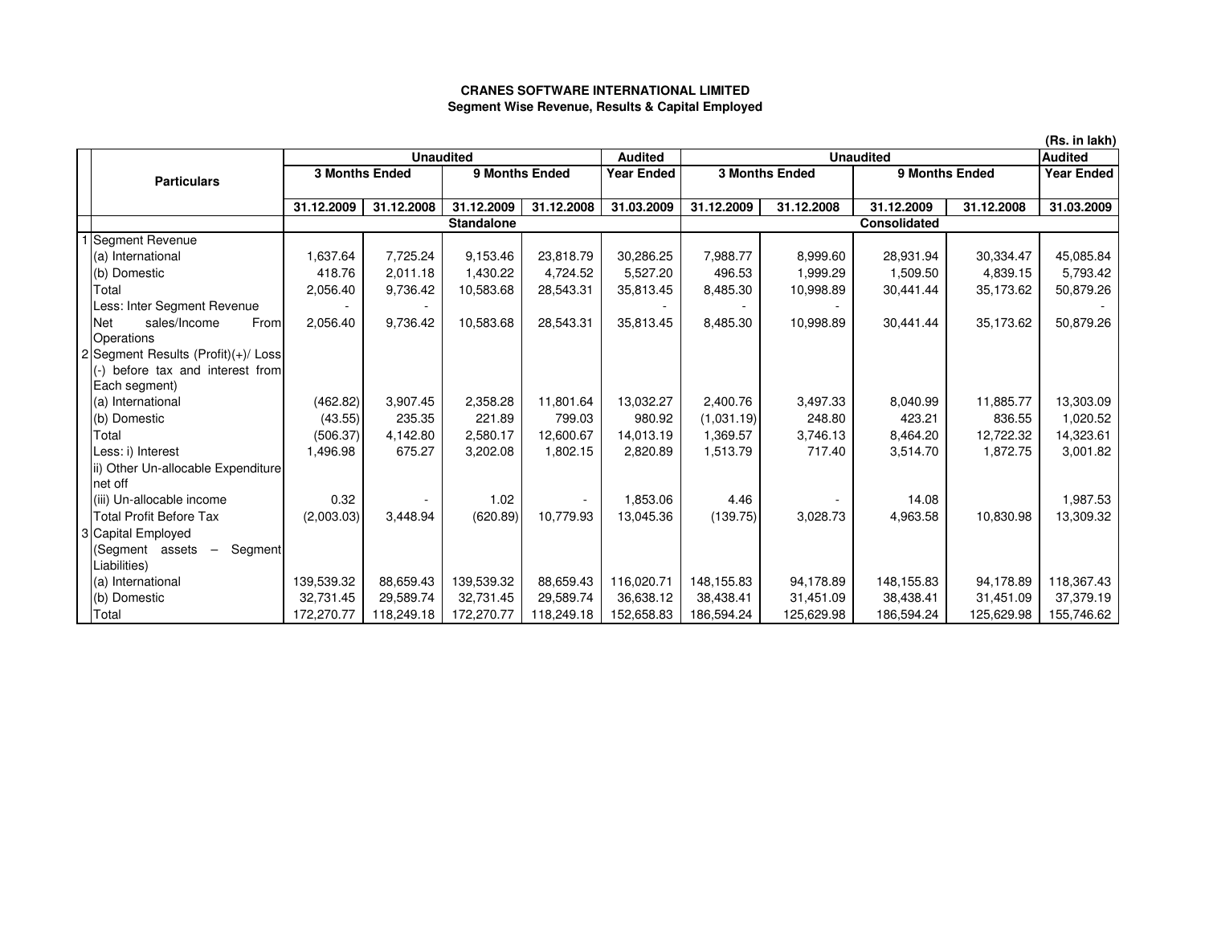## **CRANES SOFTWARE INTERNATIONAL LIMITEDSegment Wise Revenue, Results & Capital Employed**

|                                                        |                |                  |                   |            |                   |            |                |                  |            | (Rs. in lakh)     |
|--------------------------------------------------------|----------------|------------------|-------------------|------------|-------------------|------------|----------------|------------------|------------|-------------------|
|                                                        |                | <b>Unaudited</b> |                   |            | <b>Audited</b>    |            |                | <b>Unaudited</b> |            | <b>Audited</b>    |
| <b>Particulars</b>                                     | 3 Months Ended |                  | 9 Months Ended    |            | <b>Year Ended</b> |            | 3 Months Ended | 9 Months Ended   |            | <b>Year Ended</b> |
|                                                        |                |                  |                   |            |                   |            |                |                  |            |                   |
|                                                        | 31.12.2009     | 31.12.2008       | 31.12.2009        | 31.12.2008 | 31.03.2009        | 31.12.2009 | 31.12.2008     | 31.12.2009       | 31.12.2008 | 31.03.2009        |
|                                                        |                |                  | <b>Standalone</b> |            |                   |            |                | Consolidated     |            |                   |
| Segment Revenue                                        |                |                  |                   |            |                   |            |                |                  |            |                   |
| (a) International                                      | 1,637.64       | 7,725.24         | 9,153.46          | 23,818.79  | 30,286.25         | 7,988.77   | 8,999.60       | 28,931.94        | 30,334.47  | 45,085.84         |
| (b) Domestic                                           | 418.76         | 2,011.18         | 1,430.22          | 4,724.52   | 5,527.20          | 496.53     | 1,999.29       | 1,509.50         | 4,839.15   | 5,793.42          |
| Total                                                  | 2,056.40       | 9,736.42         | 10,583.68         | 28,543.31  | 35,813.45         | 8,485.30   | 10,998.89      | 30,441.44        | 35,173.62  | 50,879.26         |
| Less: Inter Segment Revenue                            |                |                  |                   |            |                   |            |                |                  |            |                   |
| <b>Net</b><br>sales/Income<br>From                     | 2,056.40       | 9,736.42         | 10,583.68         | 28,543.31  | 35,813.45         | 8,485.30   | 10,998.89      | 30,441.44        | 35,173.62  | 50,879.26         |
| Operations                                             |                |                  |                   |            |                   |            |                |                  |            |                   |
| 2 Segment Results (Profit)(+)/ Loss                    |                |                  |                   |            |                   |            |                |                  |            |                   |
| before tax and interest from                           |                |                  |                   |            |                   |            |                |                  |            |                   |
| Each segment)                                          |                |                  |                   |            |                   |            |                |                  |            |                   |
| (a) International                                      | (462.82)       | 3,907.45         | 2,358.28          | 11,801.64  | 13,032.27         | 2,400.76   | 3,497.33       | 8,040.99         | 11,885.77  | 13,303.09         |
| (b) Domestic                                           | (43.55)        | 235.35           | 221.89            | 799.03     | 980.92            | (1,031.19) | 248.80         | 423.21           | 836.55     | 1,020.52          |
| Total                                                  | (506.37)       | 4,142.80         | 2,580.17          | 12,600.67  | 14,013.19         | 1,369.57   | 3,746.13       | 8,464.20         | 12,722.32  | 14,323.61         |
| Less: i) Interest                                      | 1,496.98       | 675.27           | 3,202.08          | 1,802.15   | 2,820.89          | 1,513.79   | 717.40         | 3,514.70         | 1,872.75   | 3,001.82          |
| ii) Other Un-allocable Expenditure                     |                |                  |                   |            |                   |            |                |                  |            |                   |
| net off                                                |                |                  |                   |            |                   |            |                |                  |            |                   |
| (iii) Un-allocable income                              | 0.32           |                  | 1.02              | $\sim$     | 1,853.06          | 4.46       |                | 14.08            |            | 1,987.53          |
| <b>Total Profit Before Tax</b>                         | (2,003.03)     | 3.448.94         | (620.89)          | 10.779.93  | 13,045.36         | (139.75)   | 3,028.73       | 4,963.58         | 10,830.98  | 13,309.32         |
| 3 Capital Employed                                     |                |                  |                   |            |                   |            |                |                  |            |                   |
| Segment<br>(Segment assets<br>$\overline{\phantom{m}}$ |                |                  |                   |            |                   |            |                |                  |            |                   |
| Liabilities)                                           |                |                  |                   |            |                   |            |                |                  |            |                   |
| (a) International                                      | 139,539.32     | 88,659.43        | 139,539.32        | 88,659.43  | 116,020.71        | 148,155.83 | 94,178.89      | 148,155.83       | 94,178.89  | 118,367.43        |
| (b) Domestic                                           | 32,731.45      | 29,589.74        | 32,731.45         | 29,589.74  | 36,638.12         | 38,438.41  | 31,451.09      | 38,438.41        | 31,451.09  | 37,379.19         |
| Total                                                  | 172,270.77     | 118,249.18       | 172,270.77        | 118,249.18 | 152,658.83        | 186,594.24 | 125,629.98     | 186,594.24       | 125,629.98 | 155,746.62        |